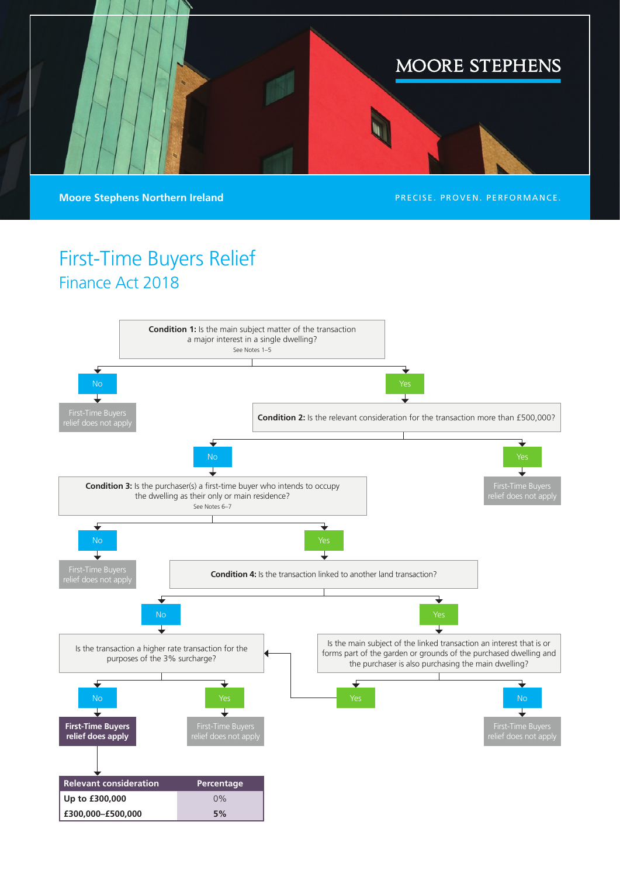

**Moore Stephens Northern Ireland PRECISE. PROVEN. PERFORMANCE.** 

## First-Time Buyers Relief Finance Act 2018